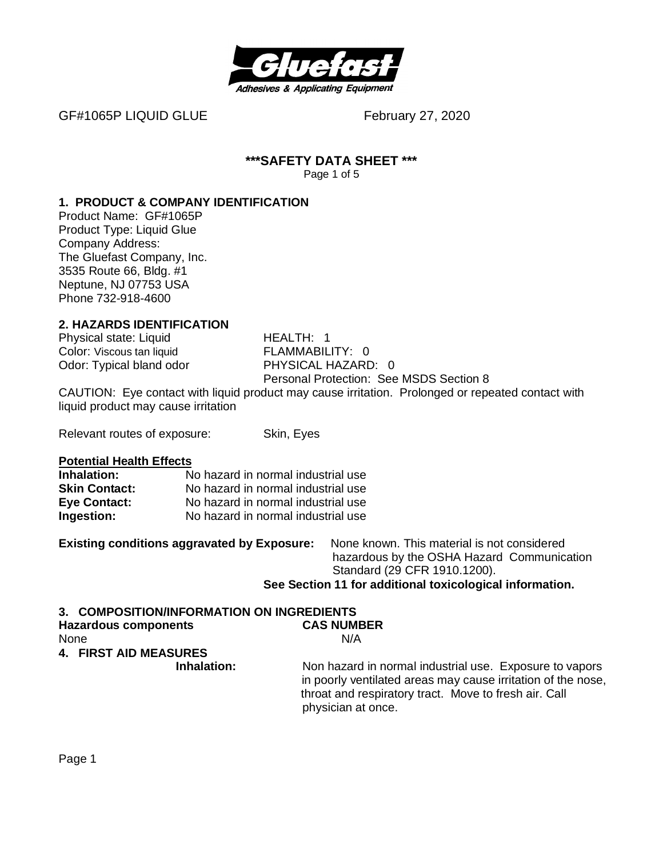

GF#1065P LIQUID GLUE February 27, 2020

#### **\*\*\*SAFETY DATA SHEET \*\*\*** Page 1 of 5

#### **1. PRODUCT & COMPANY IDENTIFICATION**

Product Name: GF#1065P Product Type: Liquid Glue Company Address: The Gluefast Company, Inc. 3535 Route 66, Bldg. #1 Neptune, NJ 07753 USA Phone 732-918-4600

# **2. HAZARDS IDENTIFICATION**

Physical state: Liquid HEALTH: 1 Odor: Typical bland odor

Color: Viscous tan liquid<br>
Odor: Tvpical bland odor

Color: Tvpical bland odor

Color: 0 Personal Protection: See MSDS Section 8

CAUTION: Eye contact with liquid product may cause irritation. Prolonged or repeated contact with liquid product may cause irritation

Relevant routes of exposure: Skin, Eyes

**Potential Health Effects**

| Inhalation:          | No hazard in normal industrial use |
|----------------------|------------------------------------|
| <b>Skin Contact:</b> | No hazard in normal industrial use |
| <b>Eye Contact:</b>  | No hazard in normal industrial use |
| Ingestion:           | No hazard in normal industrial use |

**Existing conditions aggravated by Exposure:** None known. This material is not considered hazardous by the OSHA Hazard Communication Standard (29 CFR 1910.1200). **See Section 11 for additional toxicological information.**

# **3. COMPOSITION/INFORMATION ON INGREDIENTS**

| <b>Hazardous components</b>  | <b>CAS NUMBER</b>                                                                                                                                                                                      |
|------------------------------|--------------------------------------------------------------------------------------------------------------------------------------------------------------------------------------------------------|
| None                         | N/A                                                                                                                                                                                                    |
| <b>4. FIRST AID MEASURES</b> |                                                                                                                                                                                                        |
| Inhalation:                  | Non hazard in normal industrial use. Exposure to vapors<br>in poorly ventilated areas may cause irritation of the nose.<br>throat and respiratory tract. Move to fresh air. Call<br>physician at once. |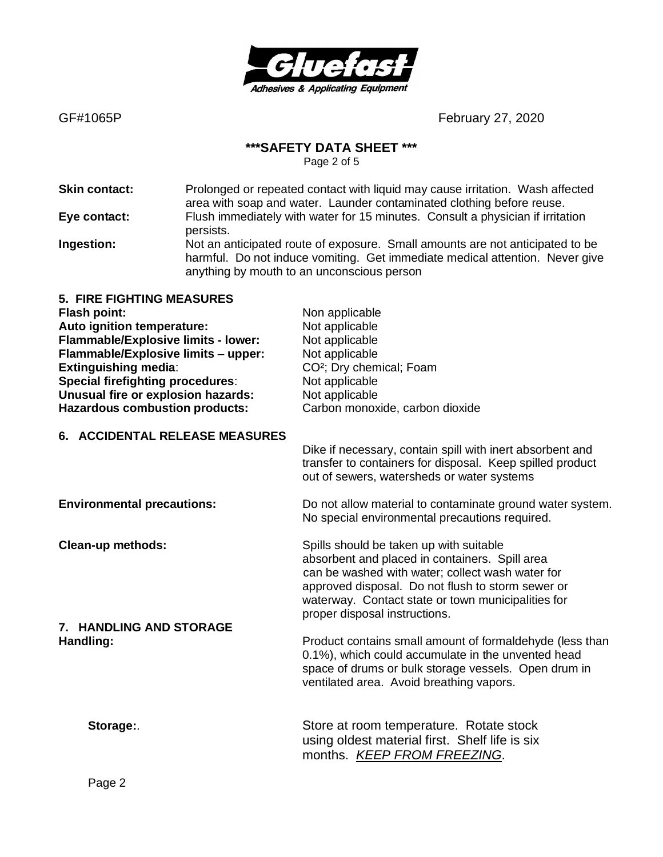

#### **\*\*\*SAFETY DATA SHEET \*\*\***

Page 2 of 5

**Skin contact:** Prolonged or repeated contact with liquid may cause irritation. Wash affected area with soap and water. Launder contaminated clothing before reuse. **Eye contact:** Flush immediately with water for 15 minutes. Consult a physician if irritation persists. **Ingestion:** Not an anticipated route of exposure. Small amounts are not anticipated to be harmful. Do not induce vomiting. Get immediate medical attention. Never give anything by mouth to an unconscious person

| <b>5. FIRE FIGHTING MEASURES</b>        |                                      |
|-----------------------------------------|--------------------------------------|
| <b>Flash point:</b>                     | Non applicable                       |
| Auto ignition temperature:              | Not applicable                       |
| Flammable/Explosive limits - lower:     | Not applicable                       |
| Flammable/Explosive limits - upper:     | Not applicable                       |
| <b>Extinguishing media:</b>             | CO <sup>2</sup> ; Dry chemical; Foam |
| <b>Special firefighting procedures:</b> | Not applicable                       |
| Unusual fire or explosion hazards:      | Not applicable                       |
| <b>Hazardous combustion products:</b>   | Carbon monoxide, carbon dioxide      |
|                                         |                                      |

#### **6. ACCIDENTAL RELEASE MEASURES**

Dike if necessary, contain spill with inert absorbent and transfer to containers for disposal. Keep spilled product out of sewers, watersheds or water systems

**7. HANDLING AND STORAGE**

**Environmental precautions:** Do not allow material to contaminate ground water system. No special environmental precautions required.

**Clean-up methods:** Spills should be taken up with suitable should be taken up with suitable absorbent and placed in containers. Spill area can be washed with water; collect wash water for approved disposal. Do not flush to storm sewer or waterway. Contact state or town municipalities for proper disposal instructions.

**Handling: Handling: Product contains small amount of formaldehyde (less than** 0.1%), which could accumulate in the unvented head space of drums or bulk storage vessels. Open drum in ventilated area. Avoid breathing vapors.

**Storage:**. Store at room temperature. Rotate stock using oldest material first. Shelf life is six months. *KEEP FROM FREEZING*.

Page 2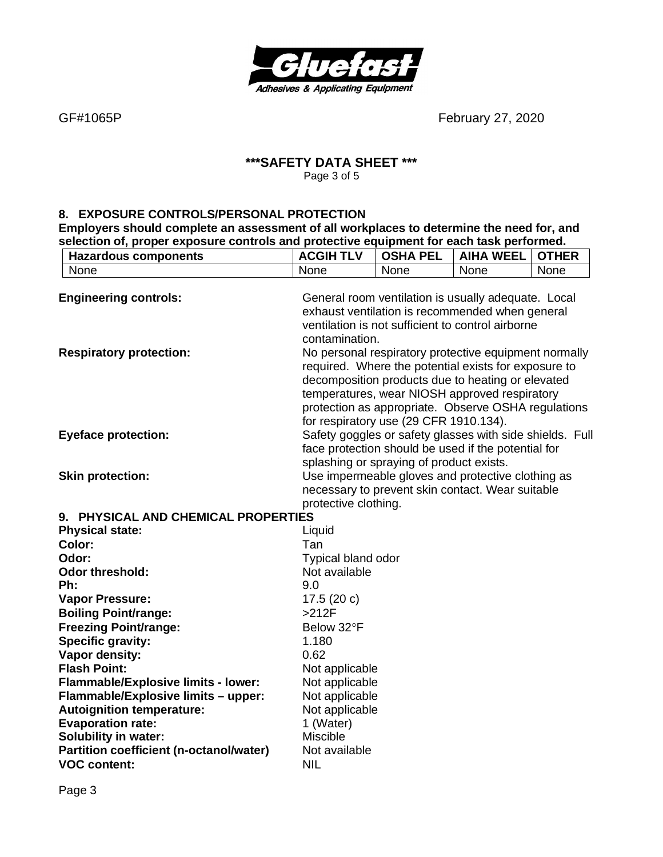

# **\*\*\*SAFETY DATA SHEET \*\*\*** Page 3 of 5

#### **8. EXPOSURE CONTROLS/PERSONAL PROTECTION**

**Employers should complete an assessment of all workplaces to determine the need for, and selection of, proper exposure controls and protective equipment for each task performed.**

| <b>Hazardous components</b>                                  | <b>ACGIH TLV</b>                                                                                                                                                              | <b>OSHA PEL</b>                                                                                                                                                                                                                                                                                                      | <b>AIHA WEEL</b> | <b>OTHER</b> |
|--------------------------------------------------------------|-------------------------------------------------------------------------------------------------------------------------------------------------------------------------------|----------------------------------------------------------------------------------------------------------------------------------------------------------------------------------------------------------------------------------------------------------------------------------------------------------------------|------------------|--------------|
| None                                                         | None                                                                                                                                                                          | None                                                                                                                                                                                                                                                                                                                 | None             | None         |
| <b>Engineering controls:</b>                                 | General room ventilation is usually adequate. Local<br>exhaust ventilation is recommended when general<br>ventilation is not sufficient to control airborne<br>contamination. |                                                                                                                                                                                                                                                                                                                      |                  |              |
| <b>Respiratory protection:</b>                               |                                                                                                                                                                               | No personal respiratory protective equipment normally<br>required. Where the potential exists for exposure to<br>decomposition products due to heating or elevated<br>temperatures, wear NIOSH approved respiratory<br>protection as appropriate. Observe OSHA regulations<br>for respiratory use (29 CFR 1910.134). |                  |              |
| <b>Eyeface protection:</b>                                   |                                                                                                                                                                               | Safety goggles or safety glasses with side shields. Full<br>face protection should be used if the potential for<br>splashing or spraying of product exists.                                                                                                                                                          |                  |              |
| <b>Skin protection:</b>                                      | protective clothing.                                                                                                                                                          | Use impermeable gloves and protective clothing as<br>necessary to prevent skin contact. Wear suitable                                                                                                                                                                                                                |                  |              |
| 9. PHYSICAL AND CHEMICAL PROPERTIES                          |                                                                                                                                                                               |                                                                                                                                                                                                                                                                                                                      |                  |              |
| <b>Physical state:</b>                                       | Liquid                                                                                                                                                                        |                                                                                                                                                                                                                                                                                                                      |                  |              |
| Color:                                                       | Tan                                                                                                                                                                           |                                                                                                                                                                                                                                                                                                                      |                  |              |
| Odor:                                                        | Typical bland odor                                                                                                                                                            |                                                                                                                                                                                                                                                                                                                      |                  |              |
| <b>Odor threshold:</b>                                       | Not available                                                                                                                                                                 |                                                                                                                                                                                                                                                                                                                      |                  |              |
| Ph:                                                          | 9.0                                                                                                                                                                           |                                                                                                                                                                                                                                                                                                                      |                  |              |
| <b>Vapor Pressure:</b>                                       | 17.5 $(20 c)$                                                                                                                                                                 |                                                                                                                                                                                                                                                                                                                      |                  |              |
| <b>Boiling Point/range:</b>                                  | $>212F$                                                                                                                                                                       |                                                                                                                                                                                                                                                                                                                      |                  |              |
| <b>Freezing Point/range:</b>                                 | Below 32°F                                                                                                                                                                    |                                                                                                                                                                                                                                                                                                                      |                  |              |
| Specific gravity:                                            | 1.180                                                                                                                                                                         |                                                                                                                                                                                                                                                                                                                      |                  |              |
| Vapor density:                                               | 0.62                                                                                                                                                                          |                                                                                                                                                                                                                                                                                                                      |                  |              |
| <b>Flash Point:</b>                                          | Not applicable                                                                                                                                                                |                                                                                                                                                                                                                                                                                                                      |                  |              |
| Flammable/Explosive limits - lower:                          | Not applicable                                                                                                                                                                |                                                                                                                                                                                                                                                                                                                      |                  |              |
| Flammable/Explosive limits - upper:                          | Not applicable                                                                                                                                                                |                                                                                                                                                                                                                                                                                                                      |                  |              |
| <b>Autoignition temperature:</b><br><b>Evaporation rate:</b> | Not applicable<br>1 (Water)                                                                                                                                                   |                                                                                                                                                                                                                                                                                                                      |                  |              |
| Solubility in water:                                         | <b>Miscible</b>                                                                                                                                                               |                                                                                                                                                                                                                                                                                                                      |                  |              |
| <b>Partition coefficient (n-octanol/water)</b>               | Not available                                                                                                                                                                 |                                                                                                                                                                                                                                                                                                                      |                  |              |
| <b>VOC content:</b>                                          | <b>NIL</b>                                                                                                                                                                    |                                                                                                                                                                                                                                                                                                                      |                  |              |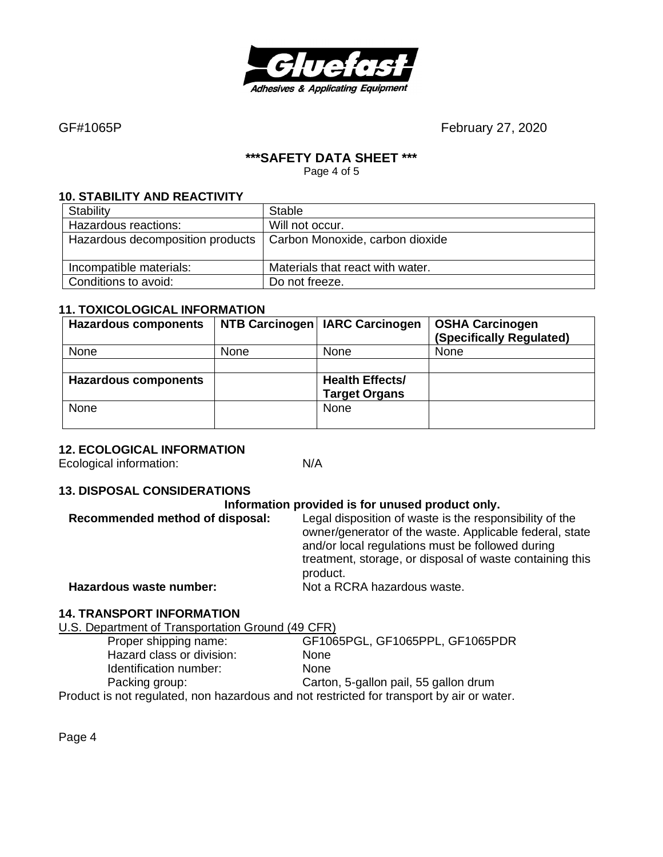

#### **\*\*\*SAFETY DATA SHEET \*\*\***

Page 4 of 5

#### **10. STABILITY AND REACTIVITY**

| Stability                        | Stable                           |
|----------------------------------|----------------------------------|
| Hazardous reactions:             | Will not occur.                  |
| Hazardous decomposition products | Carbon Monoxide, carbon dioxide  |
| Incompatible materials:          | Materials that react with water. |
| Conditions to avoid:             | Do not freeze.                   |

### **11. TOXICOLOGICAL INFORMATION**

| <b>Hazardous components</b> |      | NTB Carcinogen   IARC Carcinogen               | <b>OSHA Carcinogen</b><br>(Specifically Regulated) |
|-----------------------------|------|------------------------------------------------|----------------------------------------------------|
| None                        | None | <b>None</b>                                    | None                                               |
|                             |      |                                                |                                                    |
| <b>Hazardous components</b> |      | <b>Health Effects/</b><br><b>Target Organs</b> |                                                    |
| None                        |      | None                                           |                                                    |

#### **12. ECOLOGICAL INFORMATION**

Ecological information: N/A

#### **13. DISPOSAL CONSIDERATIONS**

#### **Information provided is for unused product only.**

| Recommended method of disposal: | Legal disposition of waste is the responsibility of the<br>owner/generator of the waste. Applicable federal, state<br>and/or local regulations must be followed during<br>treatment, storage, or disposal of waste containing this<br>product. |
|---------------------------------|------------------------------------------------------------------------------------------------------------------------------------------------------------------------------------------------------------------------------------------------|
| Hazardous waste number:         | Not a RCRA hazardous waste.                                                                                                                                                                                                                    |
|                                 |                                                                                                                                                                                                                                                |

# **14. TRANSPORT INFORMATION**

U.S. Department of Transportation Ground (49 CFR) Proper shipping name: GF1065PGL, GF1065PPL, GF1065PDR Hazard class or division: None Identification number: None Packing group: Carton, 5-gallon pail, 55 gallon drum Product is not regulated, non hazardous and not restricted for transport by air or water.

Page 4